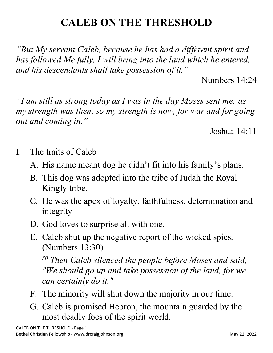## **CALEB ON THE THRESHOLD**

*"But My servant Caleb, because he has had a different spirit and has followed Me fully, I will bring into the land which he entered, and his descendants shall take possession of it."*

Numbers 14:24

*"I am still as strong today as I was in the day Moses sent me; as my strength was then, so my strength is now, for war and for going out and coming in."*

Joshua 14:11

- I. The traits of Caleb
	- A. His name meant dog he didn't fit into his family's plans.
	- B. This dog was adopted into the tribe of Judah the Royal Kingly tribe.
	- C. He was the apex of loyalty, faithfulness, determination and integrity
	- D. God loves to surprise all with one.
	- E. Caleb shut up the negative report of the wicked spies. (Numbers 13:30)

*<sup>30</sup> Then Caleb silenced the people before Moses and said, "We should go up and take possession of the land, for we can certainly do it."*

- F. The minority will shut down the majority in our time.
- G. Caleb is promised Hebron, the mountain guarded by the most deadly foes of the spirit world.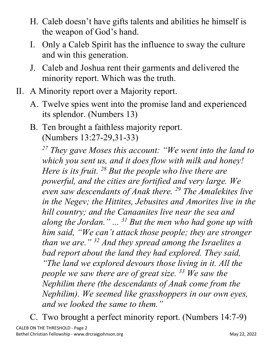- H. Caleb doesn't have gifts talents and abilities he himself is the weapon of God's hand.
- I. Only a Caleb Spirit has the influence to sway the culture and win this generation.
- J. Caleb and Joshua rent their garments and delivered the minority report. Which was the truth.
- II. A Minority report over a Majority report.
	- A. Twelve spies went into the promise land and experienced its splendor. (Numbers 13)
	- B. Ten brought a faithless majority report. (Numbers 13:27-29,31-33)

*<sup>27</sup> They gave Moses this account: "We went into the land to which you sent us, and it does flow with milk and honey! Here is its fruit. 28 But the people who live there are powerful, and the cities are fortified and very large. We even saw descendants of Anak there. 29 The Amalekites live in the Negev; the Hittites, Jebusites and Amorites live in the hill country; and the Canaanites live near the sea and along the Jordan." ... 31 But the men who had gone up with him said, "We can't attack those people; they are stronger than we are." 32 And they spread among the Israelites a bad report about the land they had explored. They said, "The land we explored devours those living in it. All the people we saw there are of great size. 33 We saw the Nephilim there (the descendants of Anak come from the Nephilim). We seemed like grasshoppers in our own eyes, and we looked the same to them."*

C. Two brought a perfect minority report. (Numbers 14:7-9)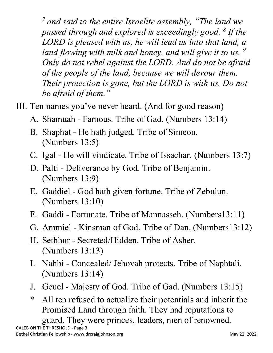*<sup>7</sup> and said to the entire Israelite assembly, "The land we passed through and explored is exceedingly good. 8 If the LORD is pleased with us, he will lead us into that land, a land flowing with milk and honey, and will give it to us. 9 Only do not rebel against the LORD. And do not be afraid of the people of the land, because we will devour them. Their protection is gone, but the LORD is with us. Do not be afraid of them."*

- III. Ten names you've never heard. (And for good reason)
	- A. Shamuah Famous. Tribe of Gad. (Numbers 13:14)
	- B. Shaphat He hath judged. Tribe of Simeon. (Numbers 13:5)
	- C. Igal He will vindicate. Tribe of Issachar. (Numbers 13:7)
	- D. Palti Deliverance by God. Tribe of Benjamin. (Numbers 13:9)
	- E. Gaddiel God hath given fortune. Tribe of Zebulun. (Numbers 13:10)
	- F. Gaddi Fortunate. Tribe of Mannasseh. (Numbers13:11)
	- G. Ammiel Kinsman of God. Tribe of Dan. (Numbers13:12)
	- H. Sethhur Secreted/Hidden. Tribe of Asher. (Numbers 13:13)
	- I. Nahbi Concealed/ Jehovah protects. Tribe of Naphtali. (Numbers 13:14)
	- J. Geuel Majesty of God. Tribe of Gad. (Numbers 13:15)
	- \* All ten refused to actualize their potentials and inherit the Promised Land through faith. They had reputations to guard. They were princes, leaders, men of renowned.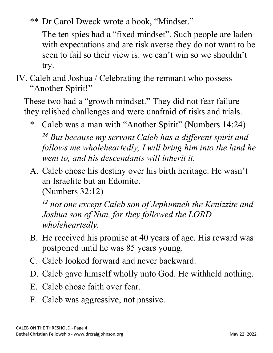\*\* Dr Carol Dweck wrote a book, "Mindset."

The ten spies had a "fixed mindset". Such people are laden with expectations and are risk averse they do not want to be seen to fail so their view is: we can't win so we shouldn't try.

## IV. Caleb and Joshua / Celebrating the remnant who possess "Another Spirit!"

These two had a "growth mindset." They did not fear failure they relished challenges and were unafraid of risks and trials.

- \* Caleb was a man with "Another Spirit" (Numbers 14:24) *<sup>24</sup> But because my servant Caleb has a different spirit and follows me wholeheartedly, I will bring him into the land he went to, and his descendants will inherit it.*
- A. Caleb chose his destiny over his birth heritage. He wasn't an Israelite but an Edomite.

(Numbers 32:12)

*<sup>12</sup> not one except Caleb son of Jephunneh the Kenizzite and Joshua son of Nun, for they followed the LORD wholeheartedly.*

- B. He received his promise at 40 years of age. His reward was postponed until he was 85 years young.
- C. Caleb looked forward and never backward.
- D. Caleb gave himself wholly unto God. He withheld nothing.
- E. Caleb chose faith over fear.
- F. Caleb was aggressive, not passive.